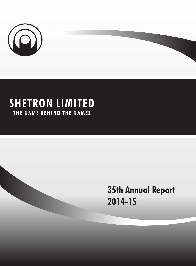

## **SHETRON LIMITED** THE NAME BEHIND THE NAMES

# **35th Annual Report** 2014-15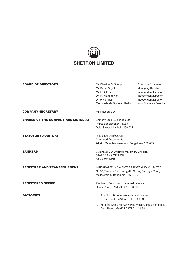## $\widehat{\mathbf{O}}$ **SHETRON LIMITED**

| <b>BOARD OF DIRECTORS</b>                  | Mr. Diwakar S. Shetty<br>Mr. Kartik Nayak<br>Mr. B.S. Patil<br>Dr. M. Mahadeviah<br>: Dr. P P Shastri<br>Mrs. Yashoda Diwakar Shetty     | Executive Chairman<br><b>Managing Director</b><br>Independent Director<br>Independent Director<br>Independent Director<br>Non-Executive Director |
|--------------------------------------------|------------------------------------------------------------------------------------------------------------------------------------------|--------------------------------------------------------------------------------------------------------------------------------------------------|
| <b>COMPANY SECRETARY</b>                   | Mr. Naveen S D                                                                                                                           |                                                                                                                                                  |
| <b>SHARES OF THE COMPANY ARE LISTED AT</b> | Bombay Stock Exchange Ltd<br>Phiroze Jeejeebhoy Towers,<br>Dalal Street, Mumbai - 400 001                                                |                                                                                                                                                  |
| <b>STATUTORY AUDITORS</b>                  | $\therefore$ PAL & SHANBHOGUE<br><b>Chartered Accountants</b><br>24, 4th Main, Malleswaram, Bangalore - 560 003                          |                                                                                                                                                  |
| <b>BANKERS</b>                             | : COSMOS CO-OPERATIVE BANK LIMITED<br>STATE BANK OF INDIA<br><b>BANK OF INDIA</b>                                                        |                                                                                                                                                  |
| <b>REGISTRAR AND TRANSFER AGENT</b>        | : INTEGRATED INDIA ENTERPRISES (INDIA) LIMITED,<br>No.30, Ramana Residency, 4th Cross, Sampige Road,<br>Malleswaram, Bangalore - 560 003 |                                                                                                                                                  |
| <b>REGISTERED OFFICE</b>                   | : Plot No.1, Bommasandra Industrial Area,<br>Hosur Road, BANGALORE - 560 099                                                             |                                                                                                                                                  |
| <b>FACTORIES</b>                           | : i. Plot No.1, Bommasandra Industrial Area<br>Hosur Road, BANGALORE - 560 099                                                           |                                                                                                                                                  |
|                                            | Mumbai-Nasik Highway, Post Vasind, Taluk Shahapur,<br>ii.                                                                                |                                                                                                                                                  |

Dist. Thane, MAHARASTRA - 421 604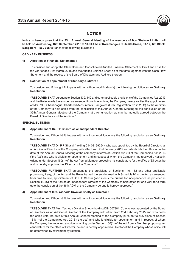

## **NOTICE**

Notice is hereby given that the **35th Annual General Meeting** of the members of **M/s Shetron Limited** will be held on **Wednesday, 16th September, 2015 at 10.00 A.M. at Koramangala Club, 6th Cross, CA 17, 6th Block, Bangalore – 560 095** to transact the following business :

#### **ORDINARY BUSINESS :**

#### **1) Adoption of Financial Statements :**

 To consider and adopt the Standalone and Consolidated Audited Financial Statement of Profit and Loss for the year ended 31st March, 2015 and the Audited Balance Sheet as at that date together with the Cash Flow Statement and the reports of the Board of Directors and Auditors thereon.

#### **2) Ratification of appointment of Statutory Auditors :**

 To consider and if thought fit to pass with or without modification(s) the following resolution as an **Ordinary Resolution :**

**"RESOLVED THAT** pursuant to Section 139, 142 and other applicable provisions of the Companies Act, 2013 and the Rules made thereunder, as amended from time to time, the Company hereby ratifies the appointment of M/s Pal & Shanbhogue, Chartered Accountants, Bangalore (Firm Registration No.2528 S) as the Auditors of the Company to hold office from the conclusion of this Annual General Meeting till the conclusion of the 36th Annual General Meeting of the Company, at a remuneration as may be mutually agreed between the Board of Directors and the Auditors."

#### **SPECIAL BUSINESS :**

#### **3) Appointment of Dr. P P Shastri as an Independent Director :**

 To consider and if thought fit, to pass with or without modification(s), the following resolution as an **Ordinary Resolution :** 

**"RESOLVED THAT** Dr. P P Shastri (holding DIN 02199254), who was appointed by the Board of Directors as an Additional Director of the Company with effect from 2nd February 2015 and who holds the office upto the date of this Annual General Meeting of the company in terms of Section 161 (1) of the Companies Act, 2013 ("the Act") and who is eligible for appointment and in respect of whom the Company has received a notice in writing under Section 160(1) of the Act from a Member proposing his candidature for the office of Director, be and is hereby appointed as Director of the Company."

**"RESOLVED FURTHER THAT** pursuant to the provisions of Sections 149, 152 and other applicable provisions, if any, of the Act, and the Rules framed thereunder read with Schedule IV to the Act, as amended from time to time, appointment of Dr. P P Shastri (who meets the criteria for independence as provided in Section 149(6) of the Act) as an Independent Director of the Company to hold office for one year for a term upto the conclusion of the 36th AGM of the Company be and is hereby approved."

#### **4) Appointment of Mrs. Yashoda Diwakar Shetty as Director :**

 To consider and if thought fit, to pass with or without modification(s), the following resolution as an **Ordinary Resolution :**

**"RESOLVED THAT** Mrs. Yashoda Diwakar Shetty (holding DIN 00798116), who was appointed by the Board of Directors as an Additional Director of the Company with effect from 2nd February 2015 and who holds the office upto the date of this Annual General Meeting of the Company pursuant to provisions of Section 161(1) of the Companies Act, 2013 ('the act') and who is eligible for appointment and in respect of whom the Company has received a notice in writing under Section 160(1) of the Act from a Member proposing her candidature for the office of Director, be and is hereby appointed a Director of the Company whose office will be determined by retirement by rotation."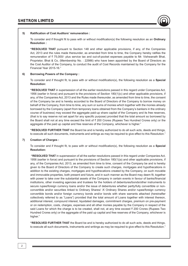

To consider and if thought fit to pass with or without modification(s) the following resolution as an **Ordinary Resolution :** 

**"RESOLVED THAT** pursuant to Section 148 and other applicable provisions, if any, of the Companies Act, 2013 and the rules made thereunder, as amended from time to time, the Company hereby ratifies the remuneration of  $\bar{\tau}$  75,000/- plus service tax and out-of-pocket expenses payable to Mr. Vishwanath Bhat, Proprietor, Bhat & Co, (Membership No. : 22986) who have been appointed by the Board of Directors as the Cost Auditor of the Company, to conduct the audit of Cost Records maintained by the Company for the Financial Year 2015-16."

#### **6) Borrowing Powers of the Company :**

 To consider and if thought fit, to pass with or without modification(s), the following resolution as a **Special Resolution:** 

**"RESOLVED THAT** in supersession of all the earlier resolutions passed in this regard under Companies Act, 1956 (earlier in force) and pursuant to the provisions of Section 180(1)(c) and other applicable provisions, if any, of the Companies Act, 2013 and the Rules made thereunder, as amended from time to time, the consent of the Company be and is hereby accorded to the Board of Directors of the Company to borrow money on behalf of the Company, from time to time, any sum or sums of monies which together with the monies already borrowed by the Company (apart from temporary loans obtained from the Company's bankers in the ordinary course of business) may exceed the aggregate paid-up share capital of the Company and its free reserves, (that is to say reserve not set apart for any specific purpose) provided that the total amount so borrowed by the Board shall not at any time exceed the limit of  $\bar{\tau}$  200 Crores (Rupees Two Hundred Crores only) or the aggregate of the paid up capital and free reserves of the Company, whichever is higher."

**"RESOLVED FURTHER THAT** the Board be and is hereby authorized to do all such acts, deeds and things, to execute all such documents, instruments and writings as may be required to give effect to this Resolution."

#### **7) Creation of Charges :**

 To consider and if thought fit, to pass with or without modification(s), the following resolution as a **Special Resolution:** 

**"RESOLVED THAT** in supersession of all the earlier resolutions passed in this regard under Companies Act, 1956 (earlier in force) and pursuant to the provisions of Section 180(1)(a) and other applicable provisions, if any, of the Companies Act, 2013, as amended from time to time, consent of the Company be and is hereby given to the Board of Directors of the Company to create such charges, mortgages and hypothecations in addition to the existing charges, mortgages and hypothecations created by the Company, on such movable and immovable properties, both present and future, and in such manner as the Board may deem fit, together with power to take over the substantial assets of the Company in certain events in favour of banks/financial institutions, other investing agencies and trustees for the holders of debentures/bonds/other instruments to secure rupee/foreign currency loans and/or the issue of debentures whether partly/fully convertible or nonconvertible and/or securities linked to Ordinary Shares/ 'A' Ordinary Shares and/or rupee/foreign currency convertible bonds and/or foreign currency bonds and/or bonds with share warrants attached (hereinafter collectively referred to as "Loans") provided that the total amount of Loans together with interest thereon, additional interest, compound interest, liquidated damages, commitment charges, premium on pre-payment or on redemption, costs, charges, expenses and all other monies payable by the Company in respect of the said Loans for which the charge is to be created, shall not, at any time exceed  $\bar{\tau}$  200 Crores (Rupees Two Hundred Crores only) or the aggregate of the paid up capital and free reserves of the Company, whichever is higher."

**"RESOLVED FURTHER THAT** the Board be and is hereby authorized to do all such acts, deeds and things, to execute all such documents, instruments and writings as may be required to give effect to this Resolution."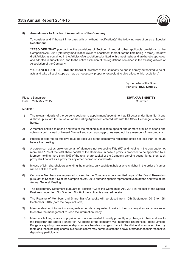

 To consider and if thought fit to pass with or without modification(s) the following resolution as a **Special Resolution:** 

**"RESOLVED THAT** pursuant to the provisions of Section 14 and all other applicable provisions of the Companies Act, 2013 (statutory modification (s) or re-enactment thereof, for the time being in force), the new draft Articles as contained in the Articles of Association submitted to this meeting be and are hereby approved and adopted in substitution, and to the entire exclusion of the regulations contained in the existing Articles of Association of the Company.

**"RESOLVED FURTHER THAT** the Board of Directors of the Company be and is hereby authorized to do all acts and take all such steps as may be necessary, proper or expedient to give effect to this resolution."

> By the order of the Board For **SHETRON LIMITED**

Date : 29th May, 2015 Chairman 2015

Place : Bangalore **DIWAKAR S SHETTY**

#### **NOTES :**

- 1) The relevant details of the persons seeking re-appointment/appointment as Director under Item No. 3 and 4 above, pursuant to Clause 49 of the Listing Agreement entered into with the Stock Exchange is annexed hereto.
- 2) A member entitled to attend and vote at the meeting is entitled to appoint one or more proxies to attend and vote on a poll instead of himself / herself and such a proxy/proxies need not be a member of the company.
- 3) Proxies in order to be effective must be received at the company's registered office not less than 48 hours before the meeting.
- 4) A person can act as proxy on behalf of Members not exceeding Fifty (50) and holding in the aggregate not more than 10% of the total share capital of the Company. In case a proxy is proposed to be appointed by a Member holding more than 10% of the total share capital of the Company carrying voting rights, then such proxy shall not act as a proxy for any other person or shareholder.
- 5) In case of joint shareholders attending the meeting, only such joint holder who is higher in the order of names will be entitled to vote.
- 6) Corporate Members are requested to send to the Company a duly certified copy of the Board Resolution pursuant to Section 113 of the Companies Act, 2013 authorizing their representative to attend and vote at the Annual General Meeting.
- 7) The Explanatory Statement pursuant to Section 102 of the Companies Act, 2013 in respect of the Special Business under Item No. 3 to Item No. 8 of the Notice, is annexed hereto.
- 8) The Register of Members and Share Transfer books will be closed from 10th September, 2015 to 16th September, 2015 (both the days inclusive).
- 9) Member desiring information as regards accounts is requested to write to the company at an early date so as to enable the management to keep the information ready.
- 10) Members holding shares in physical form are requested to notify promptly any change in their address to the Registrar and Share Transfer (RTA) agents of the company M/s Integrated Enterprises (India) Limited, Bangalore quoting their membership numbers besides changes if any in the dividend mandates given by them and those holding shares in electronic form may communicate the above information to their respective depository participants.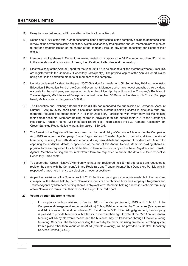

- 11) Proxy form and Attendance Slip are attached to this Annual Report.
- 12) So far, about 96% of the total number of shares in the equity capital of the company has been dematerialized. In view of the advantages of the depository system and for easy trading of the shares, members are requested to opt for dematerialization of the shares of the company through any of the depository participant of their choice.
- 13) Members holding shares in Demat form are requested to incorporate the DPID number and client ID number in the attendance slip/proxy form for easy identification of attendance at the meeting.
- 14) Electronic copy of the Annual Report for the year 2014-15 is being sent to all the Members whose E-mail IDs are registered with the Company / Depositary Participant(s). The physical copies of the Annual Report is also being sent in the permitted mode to all members of the company.
- 15) Unpaid/ unclaimed Dividend for the year 2007-08 is due for transfer on 15th September, 2015 to the Investor Education & Protection Fund of the Central Government. Members who have not yet encashed their dividend warrants for the said year, are requested to claim the dividend(s) by writing to the Company's Registrar & Transfer Agents, M/s Integrated Enterprises (India) Limited No : 30 Ramana Residency, 4th Cross , Sampige Road, Malleshwaram, Bangalore - 560003.
- 16) The Securities and Exchange Board of India (SEBI) has mandated the submission of Permanent Account Number (PAN) by every participant in securities market. Members holding shares in electronic form are, therefore, requested to submit their PAN to their Depository Participants with whom they are maintaining their demat accounts. Members holding shares in physical form can submit their PAN to the Company's Registrar & Transfer Agents, M/s Integrated Enterprises (India) Limited No : 30 Ramana Residency, 4th Cross, Sampige Road, Malleshwaram, Bangalore - 560 003.
- 17) The format of the Register of Members prescribed by the Ministry of Corporate Affairs under the Companies Act, 2013 requires the Company/ Share Registrars and Transfer Agents to record additional details of Members, including their PAN details, email address, bank details for payment of dividend, etc. A form for capturing the additional details is appended at the end of this Annual Report. Members holding shares in physical form are requested to submit the filled in form to the Company or its Share Registrars and Transfer Agents. Members holding shares in electronic form are requested to submit the details to their respective Depository Participants.
- 18) To support the "Green Initiative", Members who have not registered their E-mail addresses are requested to register the same with the Company's Share Registrars and Transfer Agents/ their Depository Participants, in respect of shares held in physical/ electronic mode respectively.
- 19) As per the provisions of the Companies Act, 2013, facility for making nominations is available to the members in respect of the shares held by them. Nomination forms can be obtained from the Company's Registrars and Transfer Agents by Members holding shares in physical form. Members holding shares in electronic form may obtain Nomination forms from their respective Depository Participant.

#### **20) Voting through Electronic means :**

I. In compliance with provisions of Section 108 of the Companies Act, 2013 and Rule 20 of the Companies (Management and Administration) Rules, 2014 as amended by Companies (Management and Administration) Amendments Rules, 2015 and Clause 35B of the Listing Agreement, the Company is pleased to provide Members with a facility to exercise their right to vote at the 35th Annual General Meeting (AGM) by electronic means and the business may be transacted through Electronic Voting (e-Voting) Services. The facility for casting the votes by the members using an electronic voting system from a place other than venue of the AGM ("remote e-voting") will be provided by Central Depository Services Limited (CDSL).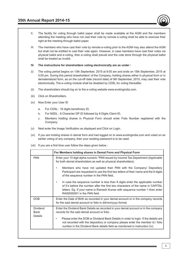

III. The members who have cast their vote by remote e-voting prior to the AGM may also attend the AGM but shall not be entitled to cast their vote again. However, in case members have cast their votes via physical ballot and e-voting, then e-voting shall prevail and the vote done through the physical ballot shall be treated as invalid.

#### **IV. The instructions for shareholders voting electronically are as under :**

- (i) The voting period begins on 13th September, 2015 at 9:00 am and ends on 15th September, 2015 at 5:00 pm. During this period shareholders' of the Company, holding shares either in physical form or in dematerialized form, as on the cut-off date (record date) of 9th September, 2015, may cast their vote electronically. The e-voting module shall be disabled by CDSL for voting thereafter.
- (ii) The shareholders should log on to the e-voting website www.evotingindia.com.
- (iii) Click on Shareholders.
- (iv) Now Enter your User ID
	- a. For CDSL : 16 digits beneficiary ID,
	- b. For NSDL: 8 Character DP ID followed by 8 Digits Client ID,
	- c. Members holding shares in Physical Form should enter Folio Number registered with the Company.
- (v) Next enter the Image Verification as displayed and Click on Login.
- (vi) If you are holding shares in demat form and had logged on to www.evotingindia.com and voted on an earlier voting of any company, then your existing password is to be used.
- (vii) If you are a first time user follow the steps given below :

| For Members holding shares in Demat Form and Physical Form                                                                                                                                                                                                                     |
|--------------------------------------------------------------------------------------------------------------------------------------------------------------------------------------------------------------------------------------------------------------------------------|
| Enter your 10 digit alpha-numeric *PAN issued by Income Tax Department (Applicable<br>for both demat shareholders as well as physical shareholders)                                                                                                                            |
| Members who have not updated their PAN with the Company/ Depository<br>Participant are requested to use the first two letters of their name and the 8 digits<br>of the sequence number in the PAN field.                                                                       |
| In case the sequence number is less than 8 digits enter the applicable number<br>of 0's before the number after the first two characters of the name in CAPITAL<br>letters. Eg. If your name is Ramesh Kumar with sequence number 1 then enter<br>RA00000001 in the PAN field. |
| Enter the Date of Birth as recorded in your demat account or in the company records<br>for the said demat account or folio in dd/mm/yyyy format.                                                                                                                               |
| Enter the Dividend Bank Details as recorded in your demat account or in the company<br>records for the said demat account or folio.                                                                                                                                            |
| Please enter the DOB or Dividend Bank Details in order to login. If the details are<br>not recorded with the depository or company please enter the member id / folio<br>number in the Dividend Bank details field as mentioned in instruction (iv).                           |
|                                                                                                                                                                                                                                                                                |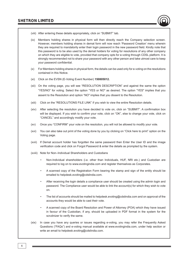

- (ix) Members holding shares in physical form will then directly reach the Company selection screen. However, members holding shares in demat form will now reach 'Password Creation' menu wherein they are required to mandatorily enter their login password in the new password field. Kindly note that this password is to be also used by the demat holders for voting for resolutions of any other company on which they are eligible to vote, provided that company opts for e-voting through CDSL platform. It is strongly recommended not to share your password with any other person and take utmost care to keep your password confidential.
- (x) For Members holding shares in physical form, the details can be used only for e-voting on the resolutions contained in this Notice.
- (xi) Click on the EVSN (E-Voting Event Number) **150805012.**
- (xii) On the voting page, you will see "RESOLUTION DESCRIPTION" and against the same the option "YES/NO" for voting. Select the option "YES or NO" as desired. The option "YES" implies that you assent to the Resolution and option "NO" implies that you dissent to the Resolution.
- (xiii) Click on the "RESOLUTIONS FILE LINK" if you wish to view the entire Resolution details.
- (xiv) After selecting the resolution you have decided to vote on, click on "SUBMIT". A confirmation box will be displayed. If you wish to confirm your vote, click on "OK", else to change your vote, click on "CANCEL" and accordingly modify your vote.
- (xv) Once you "CONFIRM" your vote on the resolution, you will not be allowed to modify your vote.
- (xvi) You can also take out print of the voting done by you by clicking on "Click here to print" option on the Voting page.
- (xvii) If Demat account holder has forgotten the same password then Enter the User ID and the image verification code and click on Forgot Password & enter the details as prompted by the system.
- (xviii) Note for Non–Individual Shareholders and Custodians
	- Non-Individual shareholders (i.e. other than Individuals, HUF, NRI etc.) and Custodian are required to log on to www.evotingindia.com and register themselves as Corporates.
	- A scanned copy of the Registration Form bearing the stamp and sign of the entity should be emailed to helpdesk.evoting@cdslindia.com.
	- After receiving the login details a compliance user should be created using the admin login and password. The Compliance user would be able to link the account(s) for which they wish to vote on.
	- The list of accounts should be mailed to helpdesk.evoting@cdslindia.com and on approval of the accounts they would be able to cast their vote.
	- A scanned copy of the Board Resolution and Power of Attorney (POA) which they have issued in favour of the Custodian, if any, should be uploaded in PDF format in the system for the scrutinizer to verify the same.
- (xix) In case you have any queries or issues regarding e-voting, you may refer the Frequently Asked Questions ("FAQs") and e-voting manual available at www.evotingindia.com, under help section or write an email to helpdesk.evoting@cdslindia.com.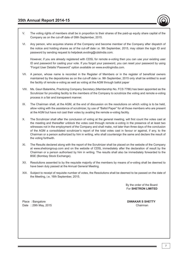- V. The voting rights of members shall be in proportion to their shares of the paid-up equity share capital of the Company as on the cut-off date of 09th September, 2015.
- VI. Any person, who acquires shares of the Company and become member of the Company after dispatch of the notice and holding shares as of the cut-off date i.e. 9th September, 2015, may obtain the login ID and password by sending request to helpdesk.evoting@cdslindia.com.

 However, if you are already registered with CDSL for remote e-voting then you can use your existing user ID and password for casting your vote. If you forgot your password, you can reset your password by using "Forgot User Details/ Password" option available on www.evotingindia.com.

- VII. A person, whose name is recorded in the Register of Members or in the register of beneficial owners maintained by the depositories as on the cut-off date i.e. 9th September, 2015 only shall be entitled to avail the facility of remote e-voting as well as voting at the AGM through ballot paper
- VIII. Ms. Gauri Balankhe, Practicing Company Secretary (Membership No. FCS 7786) has been appointed as the Scrutinizer for providing facility to the members of the Company to scrutinize the voting and remote e-voting process in a fair and transparent manner.
- IX. The Chairman shall, at the AGM, at the end of discussion on the resolutions on which voting is to be held, allow voting with the assistance of scrutinizer, by use of "Ballot Paper" for all those members who are present at the AGM but have not cast their votes by availing the remote e-voting facility.
- X. The Scrutinizer shall after the conclusion of voting at the general meeting, will first count the votes cast at the meeting and thereafter unblock the votes cast through remote e-voting in the presence of at least two witnesses not in the employment of the Company and shall make, not later than three days of the conclusion of the AGM a consolidated scrutinizer's report of the total votes cast in favour or against, if any, to the Chairman or a person authorized by him in writing, who shall countersign the same and declare the result of the voting forthwith.
- XI. The Results declared along with the report of the Scrutinizer shall be placed on the website of the Company at www.shetrongroup.com and on the website of CDSL immediately after the declaration of result by the Chairman or a person authorised by him in writing. The results shall also be immediately forwarded to the BSE (Bombay Stock Exchange).
- XII. Resolutions assented to by the requisite majority of the members by means of e-voting shall be deemed to have been duly passed at the Annual General Meeting.
- XIII. Subject to receipt of requisite number of votes, the Resolutions shall be deemed to be passed on the date of the Meeting, i.e. 16th September, 2015.

 By the order of the Board For **SHETRON LIMITED**

Place : Bangalore **DIWAKAR S SHETTY** Date : 29th May, 2015 Chairman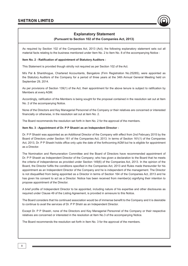### **Explanatory Statement**

#### **(Pursuant to Section 102 of the Companies Act, 2013)**

As required by Section 102 of the Companies Act, 2013 (Act), the following explanatory statement sets out all material facts relating to the business mentioned under Item No. 2 to Item No. 8 of the accompanying Notice :

#### **Item No. 2 - Ratification of appointment of Statutory Auditors :**

This Statement is provided though strictly not required as per Section 102 of the Act.

M/s Pal & Shanbhogue, Chartered Accountants, Bangalore (Firm Registration No.2528S), were appointed as the Statutory Auditors of the Company for a period of three years at the 34th Annual General Meeting held on September 29, 2014.

As per provisions of Section 139(1) of the Act, their appointment for the above tenure is subject to ratification by Members at every AGM.

Accordingly, ratification of the Members is being sought for the proposal contained in the resolution set out at Item No. 2 of the accompanying Notice.

None of the Directors and Key Managerial Personnel of the Company or their relatives are concerned or interested financially or otherwise, in the resolution set out at item No. 2.

The Board recommends the resolution set forth in Item No. 2 for the approval of the members.

#### **Item No. 3 - Appointment of Dr. P P Shastri as an Independent Director :**

Dr. P P Shastri was appointed as an Additional Director of the Company with effect from 2nd February 2015 by the Board of Directors under Section 161 of the Companies Act, 2013. In terms of Section 161(1) of the Companies Act, 2013, Dr. P P Shastri holds office only upto the date of the forthcoming AGM but he is eligible for appointment as a Director.

The Nomination and Remuneration Committee and the Board of Directors have recommended appointment of Dr. P P Shastri as Independent Director of the Company; who has given a declaration to the Board that he meets the criteria of independence as provided under Section 149(6) of the Companies Act, 2013. In the opinion of the Board, the Director fulfils the conditions specified in the Companies Act, 2013 and Rules made thereunder for his appointment as an Independent Director of the Company and he is independent of the management. The Director is not disqualified from being appointed as a Director in terms of Section 164 of the Companies Act, 2013 and he has given his consent to act as a Director. Notice has been received from member(s) signifying their intention to propose appointment of the Director.

A brief profile of Independent Director to be appointed, including nature of his expertise and other disclosures as required under Clause 49 of the Listing Agreement, is provided in annexure to this Notice.

The Board considers that his continued association would be of immense benefit to the Company and it is desirable to continue to avail the services of Dr. P P Shstri as an Independent Director.

Except Dr. P P Shastri, none of the Directors and Key Managerial Personnel of the Company or their respective relatives are concerned or interested in the resolution at Item No.3 of the accompanying Notice.

The Board recommends the resolution set forth in Item No. 3 for the approval of the members.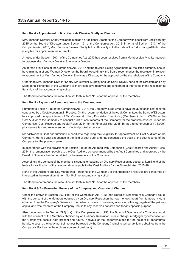

Mrs. Yashoda Diwakar Shetty was appointed as an Additional Director of the Company with effect from 2nd February 2015 by the Board of Directors under Section 161 of the Companies Act, 2013. In terms of Section 161(1) of the Companies Act, 2013, Mrs. Yashoda Diwakar Shetty holds office only upto the date of the forthcoming AGM but she is eligible for appointment as a Director.

A notice under Section 160(1) of the Companies Act, 2013 has been received from a Member signifying its intention to propose Mrs. Yashoda Diwakar Shetty as a Director.

As per the provisions of the Companies Act, 2013 and the revised Listing Agreement, all the listed company should have minimum of one Woman Director on the Board. Accordingly, the Board recommends the resolution in relation to appointment of Mrs. Yashoda Diwakar Shetty as a Director, for the approval by the shareholders of the Company.

Other than Mrs. Yashoda Diwakar Shetty, Mr. Diwakar S Shetty and Mr. Kartik Nayak, none of the Directors and Key Managerial Personnel of the Company or their respective relatives are concerned or interested in the resolution at Item No.4 of the accompanying Notice.

The Board recommends the resolution set forth in Item No. 4 for the approval of the members.

#### **Item No. 5 - Payment of Remuneration to the Cost Auditors :**

Pursuant to Section 148 of the Companies Act, 2013, the Company is required to have the audit of its cost records conducted by a Cost Accountant in Practice. On the recommendation of the Audit Committee, the Board of Directors has approved the appointment of Mr. Vishwanath Bhat, Proprietor Bhat & Co. (Membership No. : 22986) as the Cost Auditor of the Company to conduct audit of cost records of the Company for the products covered under the Companies (Cost Records and Audit) Rules, 2014 for the Financial Year 2015-16, at a remuneration of  $\bar{z}$  75,000/plus service tax and reimbursement of out-of-pocket expenses.

Mr. Vishwanath Bhat has furnished a certificate regarding their eligibility for appointment as Cost Auditors of the Company. He has vast experience in the field of cost audit and has conducted the audit of the cost records of the Company for the previous years.

In accordance with the provisions of Section 148 of the Act read with Companies (Cost Records and Audit) Rules, 2014, the remuneration payable to the Cost Auditors as recommended by the Audit Committee and approved by the Board of Directors has to be ratified by the members of the Company.

Accordingly, the consent of the members is sought for passing an Ordinary Resolution as set out at Item No. 5 of the Notice for ratification of the remuneration payable to the Cost Auditors for the Financial Year 2015-16.

None of the Directors and Key Managerial Personnel of the Company or their respective relatives are concerned or interested in the resolution at Item No. 5 of the accompanying Notice.

The Board recommends the resolution set forth in Item No. 5 for the approval of the members.

#### **Item No. 6 & 7 – Borrowing Powers of the Company and Creation of Charges :**

Under the erstwhile Section 293(1)(d) of the Companies Act, 1956, the Board of Directors of a Company could, with the consent of the Members obtained by an Ordinary Resolution, borrow moneys, apart from temporary loans obtained from the Company's Bankers in the ordinary course of business, in excess of the aggregate of the paid-up capital and free reserves of the Company, that is to say, reserves not set apart for any specific purpose.

Also, under erstwhile Section 293(1)(a) of the Companies Act, 1956, the Board of Directors of a Company could, with the consent of the Members obtained by an Ordinary Resolution, create charge/ mortgage/ hypothecation on the Company's assets, both present and future, in favour of the lenders/trustees for the holders of debentures/ bonds, to secure the repayment of moneys borrowed by the Company (including temporary loans obtained from the Company's Bankers in the ordinary course of business).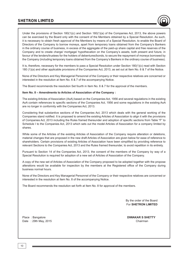Under the provisions of Section 180(1)(c) and Section 180(1)(a) of the Companies Act, 2013, the above powers can be exercised by the Board only with the consent of the Members obtained by a Special Resolution. As such, it is necessary to obtain fresh approval of the Members by means of a Special Resolution, to enable the Board of Directors of the Company to borrow moneys, apart from temporary loans obtained from the Company's Bankers in the ordinary course of business, in excess of the aggregate of the paid-up share capital and free reserves of the Company and to create charge/ mortgage/ hypothecation on the Company's assets, both present and future, in favour of the lenders/trustees for the holders of debentures/bonds, to secure the repayment of moneys borrowed by the Company (including temporary loans obtained from the Company's Bankers in the ordinary course of business).

It is, therefore, necessary for the members to pass a Special Resolution under Section 180(1)(c) read with Section 180 (1)(a) and other applicable provisions of the Companies Act, 2013, as set out at Item No. 6 & 7 of the Notice.

None of the Directors and Key Managerial Personnel of the Company or their respective relatives are concerned or interested in the resolution at Item No. 6 & 7 of the accompanying Notice.

The Board recommends the resolution Set fourth in Item No. 6 & 7 for the approval of the members.

#### **Item No. 8 – Amendments to Articles of Association of the Company :**

The existing Articles of Association (AoA) based on the Companies Act, 1956 and several regulations in the existing AoA contain references to specific sections of the Companies Act, 1956 and some regulations in the existing AoA are no longer in conformity with the Companies Act, 2013.

Considering that substantive sections of the Companies Act, 2013 which deals with the general working of the Companies stand notified. It is proposed to amend the existing Articles of Association to align it with the provisions of Companies Act, 2013 including the Rules framed thereunder and adoption of specific sections from Table "F" to Schedule I to the Companies Act, 2013 which sets out the model Articles of Association for a company limited by shares.

While some of the Articles of the existing Articles of Association of the Company require alteration or deletions, material changes that are proposed in the new draft Articles of Association are given below for ease of reference to shareholders. Certain provisions of existing Articles of Association have been simplified by providing reference to relevant Sections to the Companies Act, 2013 and the Rules framed thereunder, to avoid repetition in its entirety.

Pursuant to Section 14 of the Companies Act, 2013, the consent of the members of the Company by way of a Special Resolution is required for adoption of a new set of Articles of Association of the Company.

A copy of the new set of Articles of Association of the Company proposed to be adopted together with the propose alterations would be available for inspection by the members at the Registered office of the Company during business normal hours.

None of the Directors and Key Managerial Personnel of the Company or their respective relatives are concerned or interested in the resolution at Item No. 8 of the accompanying Notice.

The Board recommends the resolution set forth at Item No. 8 for approval of the members.

 By the order of the Board For **SHETRON LIMITED**

Date : 29th May, 2015 Chairman Chairman Chairman Chairman Chairman Chairman Chairman

Place : Bangalore **DIWAKAR S SHETTY**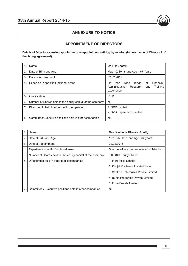

## **APPOINTMENT OF DIRECTORS**

**Details of Directors seeking appointment/ re-appointment/retiring by rotation (In pursuance of Clause 49 of the listing agreement) :**

|    | Name                                                       | Dr. P P Shastri                                                                                              |  |  |
|----|------------------------------------------------------------|--------------------------------------------------------------------------------------------------------------|--|--|
| 2. | Date of Birth and Age                                      | May 10, 1948 and Age: 67 Years                                                                               |  |  |
| 3. | Date of Appointment                                        | 02.02.2015                                                                                                   |  |  |
| 4. | Expertise in specific functional areas                     | Financial.<br>He<br>wide<br>of<br>has<br>range<br>Administrative, Research<br>Training<br>and<br>experience. |  |  |
| 5. | Qualification                                              | Ph.D                                                                                                         |  |  |
| 6. | Number of Shares held in the equity capital of the company | Nil                                                                                                          |  |  |
| 7. | Directorship held in other public companies                | 1. NRC Limited                                                                                               |  |  |
|    |                                                            | 2. SVC Superchem Limited                                                                                     |  |  |
| 8. | Committee/Executive positions held in other companies      | Nil                                                                                                          |  |  |

|    | Name                                                       | <b>Mrs. Yashoda Diwakar Shetty</b>         |
|----|------------------------------------------------------------|--------------------------------------------|
| 2. | Date of Birth and Age                                      | 11th July, 1951 and Age: 64 years          |
| 3. | Date of Appointment                                        | 02.02.2015                                 |
| 4. | Expertise in specific functional areas                     | She has wide experience in administration. |
| 5. | Number of Shares held in the equity capital of the company | 3,08,840 Equity Shares                     |
| 6. | Directorship held in other public companies                | 1. Fibre Foils Limited                     |
|    |                                                            | 2. Konjal Machines Private Limited         |
|    |                                                            | 3. Shetron Enterprises Private Limited     |
|    |                                                            | 4. Bunts Properties Private Limited        |
|    |                                                            | 5. Fibre Boards Limited                    |
| 7. | Committee / Executive positions held in other companies    | Nil                                        |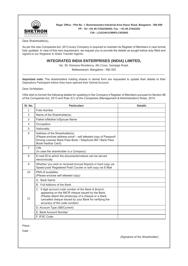

**Regd. Office : Plot No. 1, Bommasandra Industrial Area Hosur Road, Bangalore - 560 099 PP : Tel :+91 80 27832290/92; Fax : +91 80 27832293**

**CIN : L21014KA1980PLC003842**

Dear Shareholder(s),

As per the new Companies Act, 2013 every Company is required to maintain its Register of Members in new format fully updated. In view of this new requirement, we request you to provide the details as sought below duly filled and signed to our Registrar & Share Transfer Agents:

## **INTEGRATED INDIA ENTERPRISES (INDIA) LIMITED,**

No. 30, Ramana Residency, 4th Cross, Sampige Road,

Malleswaram, Bangalore - 560 003 \_\_\_\_\_\_\_\_\_\_\_\_\_\_\_\_\_\_\_\_\_\_\_\_\_\_\_\_\_\_\_\_\_\_\_\_\_\_\_\_\_\_\_\_\_\_\_\_\_\_\_\_\_\_\_\_\_\_\_\_\_\_\_\_\_\_\_\_\_\_\_\_\_\_\_\_\_\_\_\_\_\_\_\_\_\_\_\_\_\_

**Important note:** The shareholders holding shares in demat form are requested to update their details to their Depository Participant where they have opened their Demat Account.

Dear Sir/Madam,

I/We wish to furnish the following details for updating in the Company's Register of Members pursuant to Section 88 of the Companies Act, 2013 and Rule 3(1) of the Companies (Management & Administration) Rules, 2014.

| SI. No.        | <b>Particulars</b>                                                                                                                                                                                                                                       | <b>Details</b> |
|----------------|----------------------------------------------------------------------------------------------------------------------------------------------------------------------------------------------------------------------------------------------------------|----------------|
| 1              | Folio Number                                                                                                                                                                                                                                             |                |
| 2              | Name of the Shareholder(s)                                                                                                                                                                                                                               |                |
| 3              | Father's/Mother's/Spouse Name                                                                                                                                                                                                                            |                |
| 4              | Occupation                                                                                                                                                                                                                                               |                |
| 5              | Nationality                                                                                                                                                                                                                                              |                |
| 6              | Address of the Shareholder(s)<br>(Please enclose address proof - self attested copy of Passport/<br>Driving License/ Bank Pass Book / Telephone Bill / Bank Pass<br>Book/ Aadhar Card)                                                                   |                |
| $\overline{7}$ | CIN<br>(In case the shareholder is a Company)                                                                                                                                                                                                            |                |
| 8              | E-mail ID to which the documents/notices can be served<br>electronically                                                                                                                                                                                 |                |
| 9              | Whether you wish to received Annual Reports in hard copy via<br>Speed post/ Registered Post/ Courier or soft copy via E-Mail                                                                                                                             |                |
| 10             | PAN (If available)<br>(Please enclose self attested copy)                                                                                                                                                                                                |                |
|                | A. Bank Name                                                                                                                                                                                                                                             |                |
|                | B. Full Address of the Bank                                                                                                                                                                                                                              |                |
| 11             | C. 9 digit account code number of the Bank & Branch<br>appearing on the MICR cheque issued by the Bank.<br>(Please attach the photocopy of a cheque or a blank<br>cancelled cheque issued by your Bank for verifying the<br>accuracy of the code number) |                |
|                | D. Account Type (SB/Current)                                                                                                                                                                                                                             |                |
|                | E. Bank Account Number                                                                                                                                                                                                                                   |                |
|                | F. IFSC Code                                                                                                                                                                                                                                             |                |

Place :

Date :

(Signature of the Shareholder)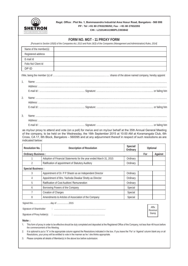

#### **Regd. Office : Plot No. 1, Bommasandra Industrial Area Hosur Road, Bangalore - 560 099 PP : Tel :+91 80 27832290/92; Fax : +91 80 27832293 CIN : L21014KA1980PLC003842**

| Name of the member(s)          |                                                                                                                                                                                                                                                                                                                                                   |                    |     |          |
|--------------------------------|---------------------------------------------------------------------------------------------------------------------------------------------------------------------------------------------------------------------------------------------------------------------------------------------------------------------------------------------------|--------------------|-----|----------|
| Registered address             |                                                                                                                                                                                                                                                                                                                                                   |                    |     |          |
| E-mail Id                      |                                                                                                                                                                                                                                                                                                                                                   |                    |     |          |
| Folio No/ Client Id            |                                                                                                                                                                                                                                                                                                                                                   |                    |     |          |
| DP ID                          |                                                                                                                                                                                                                                                                                                                                                   |                    |     |          |
|                                |                                                                                                                                                                                                                                                                                                                                                   |                    |     |          |
| 1.                             |                                                                                                                                                                                                                                                                                                                                                   |                    |     |          |
|                                |                                                                                                                                                                                                                                                                                                                                                   |                    |     |          |
|                                |                                                                                                                                                                                                                                                                                                                                                   |                    |     |          |
| 2.                             |                                                                                                                                                                                                                                                                                                                                                   |                    |     |          |
|                                |                                                                                                                                                                                                                                                                                                                                                   |                    |     |          |
|                                |                                                                                                                                                                                                                                                                                                                                                   |                    |     |          |
| 3.                             |                                                                                                                                                                                                                                                                                                                                                   |                    |     |          |
|                                |                                                                                                                                                                                                                                                                                                                                                   |                    |     |          |
|                                |                                                                                                                                                                                                                                                                                                                                                   |                    |     |          |
|                                | as my/our proxy to attend and vote (on a poll) for me/us and on my/our behalf at the 35th Annual General Meeting<br>of the company, to be held on the Wednesday, the 16th September 2015 at 10:00 AM at Koramangala Club, 6th<br>Cross, CA 17, 6th Block, Bangalore - 560095 and at any adjournment thereof in respect of such resolutions as are |                    |     |          |
| indicated below:               |                                                                                                                                                                                                                                                                                                                                                   | Special/           |     |          |
| <b>Resolution No.</b>          | <b>Description of Resolution</b>                                                                                                                                                                                                                                                                                                                  | Ordinary           |     | Optional |
|                                |                                                                                                                                                                                                                                                                                                                                                   |                    | For |          |
| <b>Ordinary Business:</b><br>1 | Adoption of Financial Statements for the year ended March 31, 2015                                                                                                                                                                                                                                                                                | Ordinary           |     |          |
| 2                              | Ratification of appointment of Statutory Auditory                                                                                                                                                                                                                                                                                                 | Ordinary           |     | Against  |
|                                |                                                                                                                                                                                                                                                                                                                                                   |                    |     |          |
| <b>Special Business:</b><br>3  | Appointment of Dr. P P Shastri as an Independent Director                                                                                                                                                                                                                                                                                         | Ordinary           |     |          |
| 4                              | Appointment of Mrs. Yashoda Diwakar Shetty as Director                                                                                                                                                                                                                                                                                            | Ordinary           |     |          |
| 5                              | Ratification of Cost Auditors' Remuneration                                                                                                                                                                                                                                                                                                       | Ordinary           |     |          |
| 6                              | Borrowing Powers of the Company                                                                                                                                                                                                                                                                                                                   | Special            |     |          |
| 7<br>8                         | Creation of Charges<br>Amendments to Articles of Association of the Company                                                                                                                                                                                                                                                                       | Special<br>Special |     |          |
|                                |                                                                                                                                                                                                                                                                                                                                                   |                    |     |          |
| Signature of Shareholder       |                                                                                                                                                                                                                                                                                                                                                   |                    |     | Affix    |

**Note :**

1. This form of proxy in order to be effective should be duly completed and deposited at the Registered Office of the Company, not less than 48 hours before the commencement of the Meeting.

2. It is optional to put a "X" in the appropriate column against the Resolutions indicated in the box. If you leave the 'For' or 'Against' column blank any or all Resolutions, your proxy will be entitled to vote in the manner as he / she thinks appropriate.

3. Please complete all details of Member(s) in the above box before submission.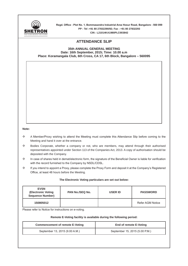

**Regd. Office : Plot No. 1, Bommasandra Industrial Area Hosur Road, Bangalore - 560 099 PP : Tel :+91 80 27832290/92; Fax : +91 80 27832293 CIN : L21014KA1980PLC003842**

## **ATTENDANCE SLIP**

#### **35th ANNUAL GENERAL MEETING Date: 16th September, 2015; Time: 10.00 a.m Place: Koramangala Club, 6th Cross, CA 17, 6th Block, Bangalore – 560095**

#### **Note:**

- $\Leftrightarrow$  A Member/Proxy wishing to attend the Meeting must complete this Attendance Slip before coming to the Meeting and hand it over at the entrance.
- $\diamond$  Bodies Corporate, whether a company or not, who are members, may attend through their authorised representatives appointed under Section 113 of the Companies Act, 2013. A copy of authorisation should be deposited with the Company.
- $\diamond$  In case of shares held in demat/electronic form, the signature of the Beneficial Owner is liable for verification with the record furnished to the Company by NSDL/CDSL.
- $\diamond$  If you intend to appoint a Proxy, please complete the Proxy Form and deposit it at the Company's Registered Office, at least 48 hours before the Meeting.

#### **The Electronic Voting particulars are set out below:**

| <b>EVSN</b><br>(Electronic Voting<br><b>Sequence Number)</b> | <b>PAN No./SEQ No.</b> | <b>USER ID</b> | <b>PASSWORD</b>  |
|--------------------------------------------------------------|------------------------|----------------|------------------|
| 150805012                                                    |                        |                | Refer AGM Notice |

Please refer to Notice for instructions on e-voting.

#### **Remote E-Voting facility is available during the following period:**

| <b>Commencement of remote E-Voting</b> | End of remote E-Voting         |
|----------------------------------------|--------------------------------|
| September 13, 2015 (9.00 A.M.)         | September 15, 2015 (5.00 P.M.) |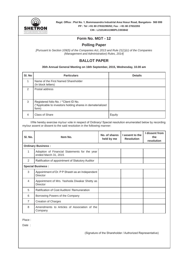

**Regd. Office : Plot No. 1, Bommasandra Industrial Area Hosur Road, Bangalore- 560 099 PP : Tel :+91 80 27832290/92; Fax : +91 80 27832293 CIN : L21014KA1980PLC003842**

## **Form No. MGT - 12**

## **Polling Paper**

*[Pursuant to Section 109(5) of the Companies Act, 2013 and Rule 21(1)(c) of the Companies (Management and Administration) Rules, 2014]*

## **BALLOT PAPER**

**35th Annual General Meeting on 16th September, 2015, Wednesday, 10.00 am**

| SI. No        | <b>Particulars</b>                                                                                           | <b>Details</b> |
|---------------|--------------------------------------------------------------------------------------------------------------|----------------|
|               | Name of the First Named Shareholder<br>(In block letters)                                                    |                |
| $\mathcal{P}$ | Postal address                                                                                               |                |
| 3             | Registered folio No. / *Client ID No.<br>(*Applicable to investors holding shares in dematerialized<br>form) |                |
| 4             | Class of Share                                                                                               | Equity         |

I/We hereby exercise my/our vote in respect of Ordinary/ Special resolution enumerated below by recording my/our assent or dissent to the said resolution in the following manner:

| SI. No.        | Item No.                                                              | No. of shares<br>held by me | I assent to the<br><b>Resolution</b> | I dissent from<br>the<br>resolution |
|----------------|-----------------------------------------------------------------------|-----------------------------|--------------------------------------|-------------------------------------|
|                | <b>Ordinary Business:</b>                                             |                             |                                      |                                     |
| 1              | Adoption of Financial Statements for the year<br>ended March 31, 2015 |                             |                                      |                                     |
| 2              | Ratification of appointment of Statutory Auditor                      |                             |                                      |                                     |
|                | <b>Special Business:</b>                                              |                             |                                      |                                     |
| 3              | Appointment of Dr. P P Shastri as an Independent<br>Director          |                             |                                      |                                     |
| $\overline{4}$ | Appointment of Mrs. Yashoda Diwakar Shetty as<br>Director             |                             |                                      |                                     |
| 5              | Ratification of Cost Auditors' Remuneration                           |                             |                                      |                                     |
| 6              | Borrowing Powers of the Company                                       |                             |                                      |                                     |
| $\overline{7}$ | <b>Creation of Charges</b>                                            |                             |                                      |                                     |
| 8              | Amendments to Articles of Association of the<br>Company               |                             |                                      |                                     |

Place :

Date :

(Signature of the Shareholder / Authorized Representative)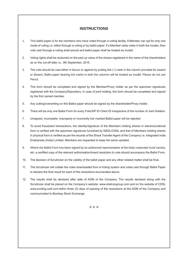## **INSTRUCTIONS**

- 1. This ballot paper is for the members who have voted through e-voting facility. A Member can opt for only one mode of voting i.e. either through e-voting or by ballot paper. If a Member casts votes in both the modes, then vote cast through e-voting shall prevail and ballot paper shall be treated as invalid.
- 2. Voting rights shall be reckoned on the paid up value of the shares registered in the name of the shareholders as on the cut-off date i.e., 9th September, 2015.
- 3. The vote should be cast either in favour or against by putting tick  $(\sqrt{})$  mark in the column provided for assent or dissent. Ballot paper bearing tick marks in both the columns will be treated as invalid. Please do not use Pencil.
- 4. This form should be completed and signed by the Member/Proxy holder as per the specimen signatures registered with the Company/Depository. In case of joint holding, this form should be completed and signed by the first named member.
- 5. Any cutting/overwriting on this Ballot paper should be signed by the shareholder/Proxy holder.
- 6. There will be only one Ballot Form for every Folio/DP ID Client ID irrespective of the number of Joint Holders.
- 7. Unsigned, incomplete, improperly or incorrectly tick marked Ballot paper will be rejected.
- 8. To avoid fraudulent transactions, the identity/signature of the Members holding shares in electronic/demat form is verified with the specimen signatures furnished by NSDL/CDSL and that of Members holding shares in physical form is verified as per the records of the Share Transfer Agent of the Company i.e. Integrated India Enterprises (India) Limited. Members are requested to keep the same updated.
- 9. Where the Ballot Form has been signed by an authorized representative of the body corporate/ trust/ society, etc. a certified copy of the relevant authorisation/board resolution to vote should accompany the Ballot Form.
- 10. The decision of Scrutinizer on the validity of the ballot paper and any other related matter shall be final.
- 11. The Scrutinizer will collate the votes downloaded from e-Voting system and votes cast through Ballot Paper to declare the final result for each of the resolutions enumerated above.
- 12. The results shall be declared after date of AGM of the Company. The results declared along with the Scrutinizer shall be placed on the Company's website: www.shetrongroup.com and on the website of CDSL www.evoting.csdl.com.within three (3) days of passing of the resolutions at the AGM of the Company and communicated to Bombay Stock Exchange.

 $\Leftrightarrow$   $\Leftrightarrow$   $\Leftrightarrow$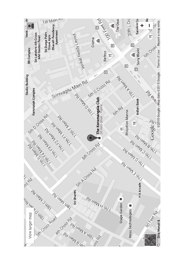